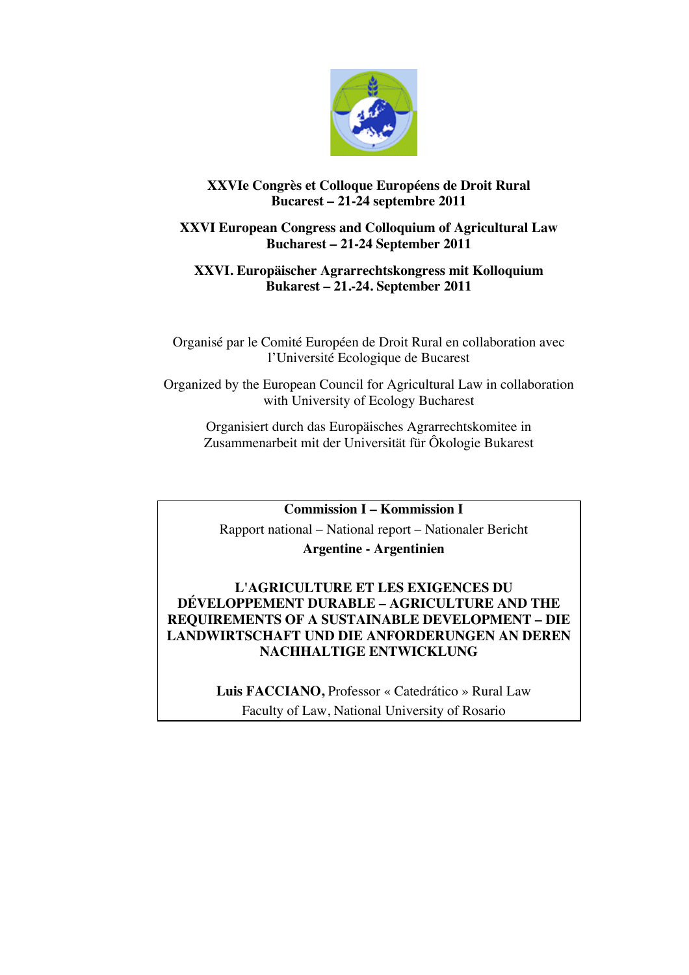

# **XXVIe Congrès et Colloque Européens de Droit Rural Bucarest – 21-24 septembre 2011**

# **XXVI European Congress and Colloquium of Agricultural Law Bucharest – 21-24 September 2011**

### **XXVI. Europäischer Agrarrechtskongress mit Kolloquium Bukarest – 21.-24. September 2011**

Organisé par le Comité Européen de Droit Rural en collaboration avec l'Université Ecologique de Bucarest

Organized by the European Council for Agricultural Law in collaboration with University of Ecology Bucharest

Organisiert durch das Europäisches Agrarrechtskomitee in Zusammenarbeit mit der Universität für Ôkologie Bukarest

**Commission I – Kommission I**

Rapport national – National report – Nationaler Bericht **Argentine - Argentinien**

# **L'AGRICULTURE ET LES EXIGENCES DU DÉVELOPPEMENT DURABLE – AGRICULTURE AND THE REQUIREMENTS OF A SUSTAINABLE DEVELOPMENT – DIE LANDWIRTSCHAFT UND DIE ANFORDERUNGEN AN DEREN NACHHALTIGE ENTWICKLUNG**

**Luis FACCIANO,** Professor « Catedrático » Rural Law Faculty of Law, National University of Rosario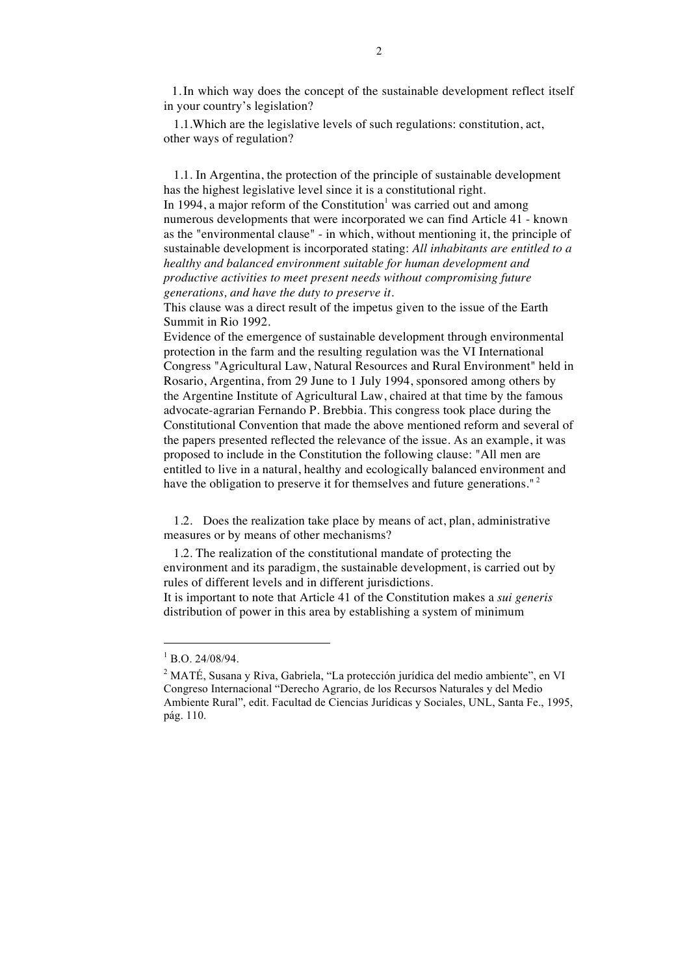1.In which way does the concept of the sustainable development reflect itself in your country's legislation?

1.1.Which are the legislative levels of such regulations: constitution, act, other ways of regulation?

1.1. In Argentina, the protection of the principle of sustainable development has the highest legislative level since it is a constitutional right.

In 1994, a major reform of the Constitution<sup>1</sup> was carried out and among numerous developments that were incorporated we can find Article 41 - known as the "environmental clause" - in which, without mentioning it, the principle of sustainable development is incorporated stating: *All inhabitants are entitled to a healthy and balanced environment suitable for human development and productive activities to meet present needs without compromising future generations, and have the duty to preserve it.*

This clause was a direct result of the impetus given to the issue of the Earth Summit in Rio 1992.

Evidence of the emergence of sustainable development through environmental protection in the farm and the resulting regulation was the VI International Congress "Agricultural Law, Natural Resources and Rural Environment" held in Rosario, Argentina, from 29 June to 1 July 1994, sponsored among others by the Argentine Institute of Agricultural Law, chaired at that time by the famous advocate-agrarian Fernando P. Brebbia. This congress took place during the Constitutional Convention that made the above mentioned reform and several of the papers presented reflected the relevance of the issue. As an example, it was proposed to include in the Constitution the following clause: "All men are entitled to live in a natural, healthy and ecologically balanced environment and have the obligation to preserve it for themselves and future generations."<sup>2</sup>

1.2. Does the realization take place by means of act, plan, administrative measures or by means of other mechanisms?

1.2. The realization of the constitutional mandate of protecting the environment and its paradigm, the sustainable development, is carried out by rules of different levels and in different jurisdictions.

It is important to note that Article 41 of the Constitution makes a *sui generis* distribution of power in this area by establishing a system of minimum

 $^{1}$  B.O. 24/08/94.

<sup>&</sup>lt;sup>2</sup> MATÉ, Susana y Riva, Gabriela, "La protección jurídica del medio ambiente", en VI Congreso Internacional "Derecho Agrario, de los Recursos Naturales y del Medio Ambiente Rural", edit. Facultad de Ciencias Jurídicas y Sociales, UNL, Santa Fe., 1995, pág. 110.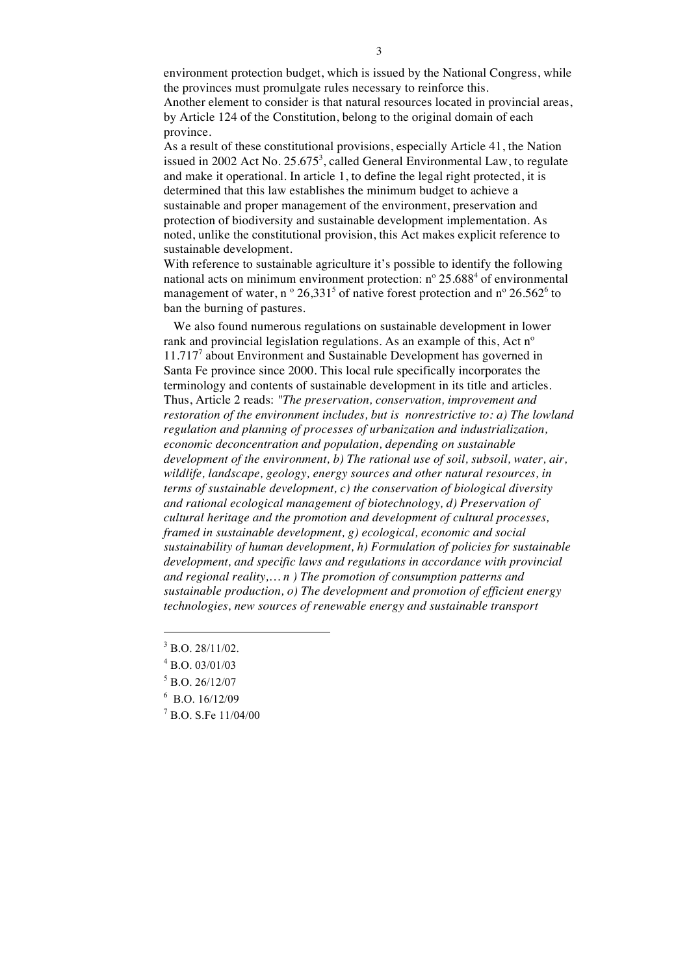environment protection budget, which is issued by the National Congress, while the provinces must promulgate rules necessary to reinforce this. Another element to consider is that natural resources located in provincial areas, by Article 124 of the Constitution, belong to the original domain of each province.

As a result of these constitutional provisions, especially Article 41, the Nation issued in 2002 Act No.  $25.675^3$ , called General Environmental Law, to regulate and make it operational. In article 1, to define the legal right protected, it is determined that this law establishes the minimum budget to achieve a sustainable and proper management of the environment, preservation and protection of biodiversity and sustainable development implementation. As noted, unlike the constitutional provision, this Act makes explicit reference to sustainable development.

With reference to sustainable agriculture it's possible to identify the following national acts on minimum environment protection:  $n^{\circ}$  25.688<sup>4</sup> of environmental management of water, n  $\degree$  26,331<sup>5</sup> of native forest protection and n $\degree$  26.562 $\degree$  to ban the burning of pastures.

We also found numerous regulations on sustainable development in lower rank and provincial legislation regulations. As an example of this, Act nº 11.717<sup>7</sup> about Environment and Sustainable Development has governed in Santa Fe province since 2000. This local rule specifically incorporates the terminology and contents of sustainable development in its title and articles. Thus, Article 2 reads: *"The preservation, conservation, improvement and restoration of the environment includes, but is nonrestrictive to: a) The lowland regulation and planning of processes of urbanization and industrialization, economic deconcentration and population, depending on sustainable development of the environment, b) The rational use of soil, subsoil, water, air, wildlife, landscape, geology, energy sources and other natural resources, in terms of sustainable development, c) the conservation of biological diversity and rational ecological management of biotechnology, d) Preservation of cultural heritage and the promotion and development of cultural processes, framed in sustainable development, g) ecological, economic and social sustainability of human development, h) Formulation of policies for sustainable development, and specific laws and regulations in accordance with provincial and regional reality,… n ) The promotion of consumption patterns and sustainable production, o) The development and promotion of efficient energy technologies, new sources of renewable energy and sustainable transport* 

1

- 6 B.O. 16/12/09
- 7 B.O. S.Fe 11/04/00

 $3$  B.O. 28/11/02.

 $^{4}$  B.O. 03/01/03

<sup>5</sup> B.O. 26/12/07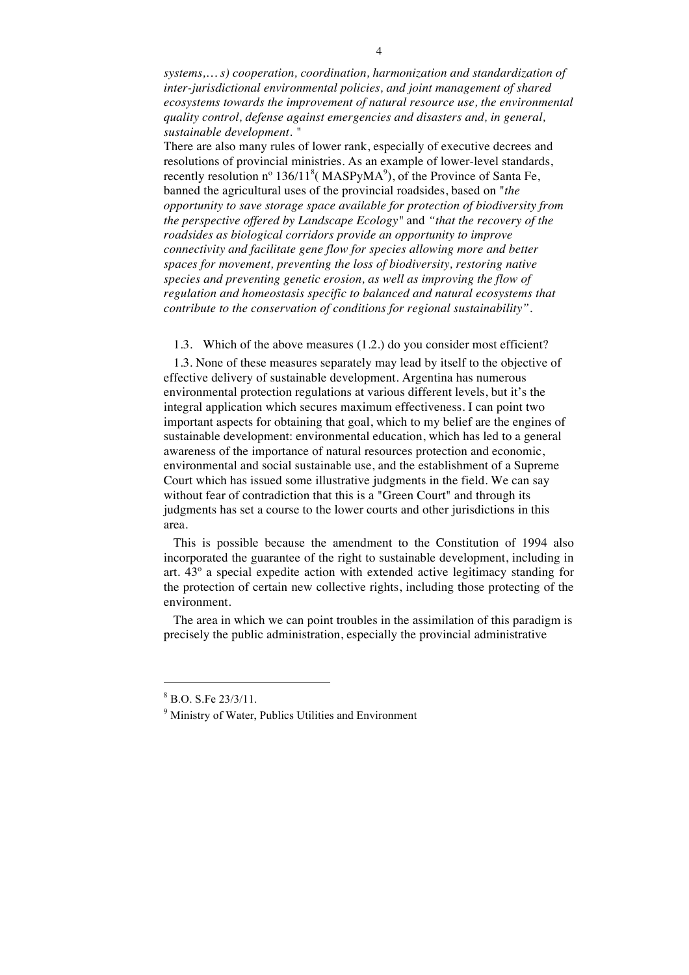*systems,… s) cooperation, coordination, harmonization and standardization of inter-jurisdictional environmental policies, and joint management of shared ecosystems towards the improvement of natural resource use, the environmental quality control, defense against emergencies and disasters and, in general, sustainable development. "*

There are also many rules of lower rank, especially of executive decrees and resolutions of provincial ministries. As an example of lower-level standards, recently resolution  $n^{\circ}$  136/11<sup>8</sup> (MASPyMA<sup>9</sup>), of the Province of Santa Fe, banned the agricultural uses of the provincial roadsides, based on "*the opportunity to save storage space available for protection of biodiversity from the perspective offered by Landscape Ecology"* and *"that the recovery of the roadsides as biological corridors provide an opportunity to improve connectivity and facilitate gene flow for species allowing more and better spaces for movement, preventing the loss of biodiversity, restoring native species and preventing genetic erosion, as well as improving the flow of regulation and homeostasis specific to balanced and natural ecosystems that contribute to the conservation of conditions for regional sustainability".*

1.3. Which of the above measures (1.2.) do you consider most efficient?

1.3. None of these measures separately may lead by itself to the objective of effective delivery of sustainable development. Argentina has numerous environmental protection regulations at various different levels, but it's the integral application which secures maximum effectiveness. I can point two important aspects for obtaining that goal, which to my belief are the engines of sustainable development: environmental education, which has led to a general awareness of the importance of natural resources protection and economic, environmental and social sustainable use, and the establishment of a Supreme Court which has issued some illustrative judgments in the field. We can say without fear of contradiction that this is a "Green Court" and through its judgments has set a course to the lower courts and other jurisdictions in this area.

This is possible because the amendment to the Constitution of 1994 also incorporated the guarantee of the right to sustainable development, including in art. 43º a special expedite action with extended active legitimacy standing for the protection of certain new collective rights, including those protecting of the environment.

The area in which we can point troubles in the assimilation of this paradigm is precisely the public administration, especially the provincial administrative

<sup>8</sup> B.O. S.Fe 23/3/11.

<sup>&</sup>lt;sup>9</sup> Ministry of Water, Publics Utilities and Environment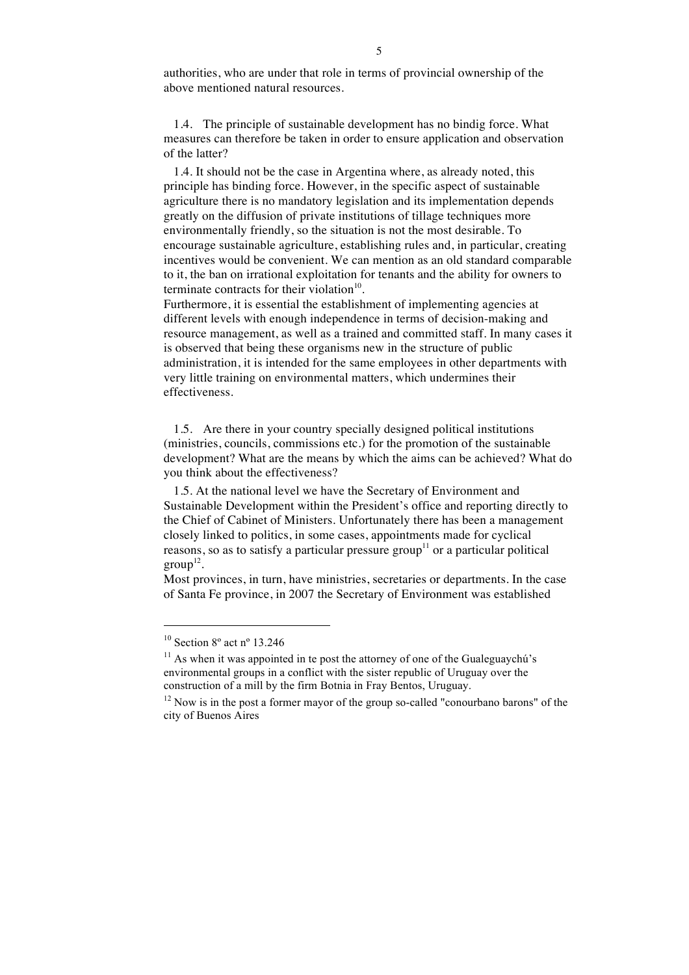authorities, who are under that role in terms of provincial ownership of the above mentioned natural resources.

1.4. The principle of sustainable development has no bindig force. What measures can therefore be taken in order to ensure application and observation of the latter?

1.4. It should not be the case in Argentina where, as already noted, this principle has binding force. However, in the specific aspect of sustainable agriculture there is no mandatory legislation and its implementation depends greatly on the diffusion of private institutions of tillage techniques more environmentally friendly, so the situation is not the most desirable. To encourage sustainable agriculture, establishing rules and, in particular, creating incentives would be convenient. We can mention as an old standard comparable to it, the ban on irrational exploitation for tenants and the ability for owners to terminate contracts for their violation $10$ .

Furthermore, it is essential the establishment of implementing agencies at different levels with enough independence in terms of decision-making and resource management, as well as a trained and committed staff. In many cases it is observed that being these organisms new in the structure of public administration, it is intended for the same employees in other departments with very little training on environmental matters, which undermines their effectiveness.

1.5. Are there in your country specially designed political institutions (ministries, councils, commissions etc.) for the promotion of the sustainable development? What are the means by which the aims can be achieved? What do you think about the effectiveness?

1.5. At the national level we have the Secretary of Environment and Sustainable Development within the President's office and reporting directly to the Chief of Cabinet of Ministers. Unfortunately there has been a management closely linked to politics, in some cases, appointments made for cyclical reasons, so as to satisfy a particular pressure group<sup>11</sup> or a particular political  $group<sup>12</sup>$ .

Most provinces, in turn, have ministries, secretaries or departments. In the case of Santa Fe province, in 2007 the Secretary of Environment was established

 $10$  Section  $8^\circ$  act n° 13.246

 $11$  As when it was appointed in te post the attorney of one of the Gualeguaychú's environmental groups in a conflict with the sister republic of Uruguay over the construction of a mill by the firm Botnia in Fray Bentos, Uruguay.

 $12$  Now is in the post a former mayor of the group so-called "conourbano barons" of the city of Buenos Aires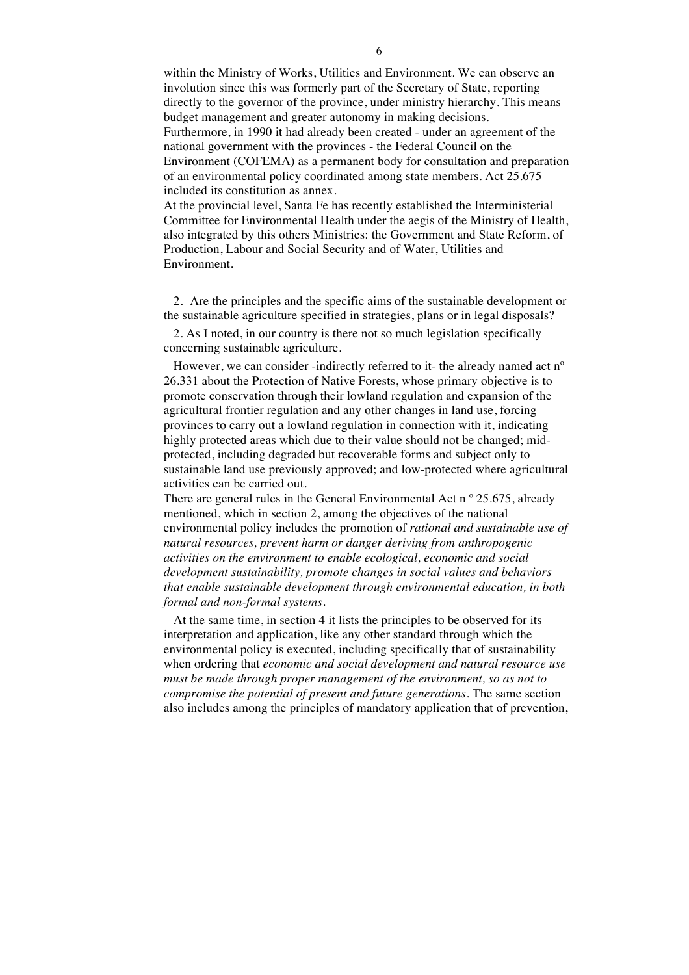within the Ministry of Works, Utilities and Environment. We can observe an involution since this was formerly part of the Secretary of State, reporting directly to the governor of the province, under ministry hierarchy. This means budget management and greater autonomy in making decisions. Furthermore, in 1990 it had already been created - under an agreement of the national government with the provinces - the Federal Council on the Environment (COFEMA) as a permanent body for consultation and preparation of an environmental policy coordinated among state members. Act 25.675 included its constitution as annex.

At the provincial level, Santa Fe has recently established the Interministerial Committee for Environmental Health under the aegis of the Ministry of Health, also integrated by this others Ministries: the Government and State Reform, of Production, Labour and Social Security and of Water, Utilities and Environment.

2. Are the principles and the specific aims of the sustainable development or the sustainable agriculture specified in strategies, plans or in legal disposals?

2. As I noted, in our country is there not so much legislation specifically concerning sustainable agriculture.

However, we can consider -indirectly referred to it- the already named act n<sup>o</sup> 26.331 about the Protection of Native Forests, whose primary objective is to promote conservation through their lowland regulation and expansion of the agricultural frontier regulation and any other changes in land use, forcing provinces to carry out a lowland regulation in connection with it, indicating highly protected areas which due to their value should not be changed; midprotected, including degraded but recoverable forms and subject only to sustainable land use previously approved; and low-protected where agricultural activities can be carried out.

There are general rules in the General Environmental Act n  $\degree$  25.675, already mentioned, which in section 2, among the objectives of the national environmental policy includes the promotion of *rational and sustainable use of natural resources, prevent harm or danger deriving from anthropogenic activities on the environment to enable ecological, economic and social development sustainability, promote changes in social values and behaviors that enable sustainable development through environmental education, in both formal and non-formal systems.* 

At the same time, in section 4 it lists the principles to be observed for its interpretation and application, like any other standard through which the environmental policy is executed, including specifically that of sustainability when ordering that *economic and social development and natural resource use must be made through proper management of the environment, so as not to compromise the potential of present and future generations*. The same section also includes among the principles of mandatory application that of prevention,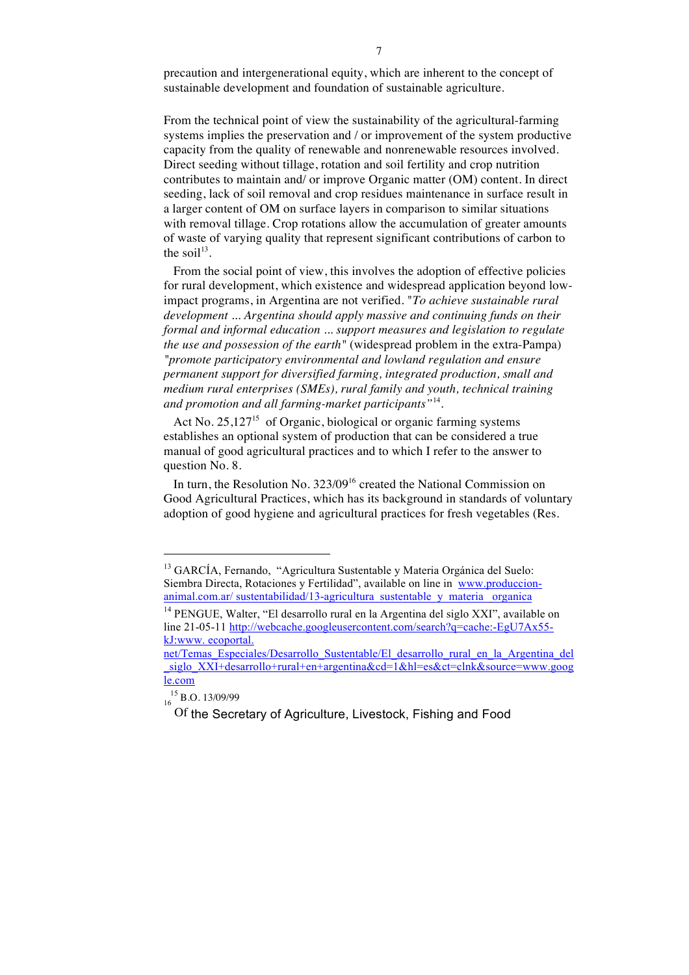precaution and intergenerational equity, which are inherent to the concept of sustainable development and foundation of sustainable agriculture.

From the technical point of view the sustainability of the agricultural-farming systems implies the preservation and / or improvement of the system productive capacity from the quality of renewable and nonrenewable resources involved. Direct seeding without tillage, rotation and soil fertility and crop nutrition contributes to maintain and/ or improve Organic matter (OM) content. In direct seeding, lack of soil removal and crop residues maintenance in surface result in a larger content of OM on surface layers in comparison to similar situations with removal tillage. Crop rotations allow the accumulation of greater amounts of waste of varying quality that represent significant contributions of carbon to the soil $13$ .

From the social point of view, this involves the adoption of effective policies for rural development, which existence and widespread application beyond lowimpact programs, in Argentina are not verified. "*To achieve sustainable rural development ... Argentina should apply massive and continuing funds on their formal and informal education ... support measures and legislation to regulate the use and possession of the earth"* (widespread problem in the extra-Pampa) *"promote participatory environmental and lowland regulation and ensure permanent support for diversified farming, integrated production, small and medium rural enterprises (SMEs), rural family and youth, technical training and promotion and all farming-market participants"*14.

Act No.  $25,127^{15}$  of Organic, biological or organic farming systems establishes an optional system of production that can be considered a true manual of good agricultural practices and to which I refer to the answer to question No. 8.

In turn, the Resolution No.  $323/09^{16}$  created the National Commission on Good Agricultural Practices, which has its background in standards of voluntary adoption of good hygiene and agricultural practices for fresh vegetables (Res.

<sup>&</sup>lt;sup>13</sup> GARCÍA, Fernando, "Agricultura Sustentable y Materia Orgánica del Suelo: Siembra Directa, Rotaciones y Fertilidad", available on line in www.produccionanimal.com.ar/ sustentabilidad/13-agricultura\_sustentable\_y\_materia\_ organica

<sup>&</sup>lt;sup>14</sup> PENGUE. Walter. "El desarrollo rural en la Argentina del siglo XXI", available on line 21-05-11 http://webcache.googleusercontent.com/search?q=cache:-EgU7Ax55kJ:www. ecoportal.

net/Temas Especiales/Desarrollo Sustentable/El desarrollo rural en la Argentina del \_siglo\_XXI+desarrollo+rural+en+argentina&cd=1&hl=es&ct=clnk&source=www.goog le.com

 $\frac{15}{16}$  B.O. 13/09/99

Of the Secretary of Agriculture, Livestock, Fishing and Food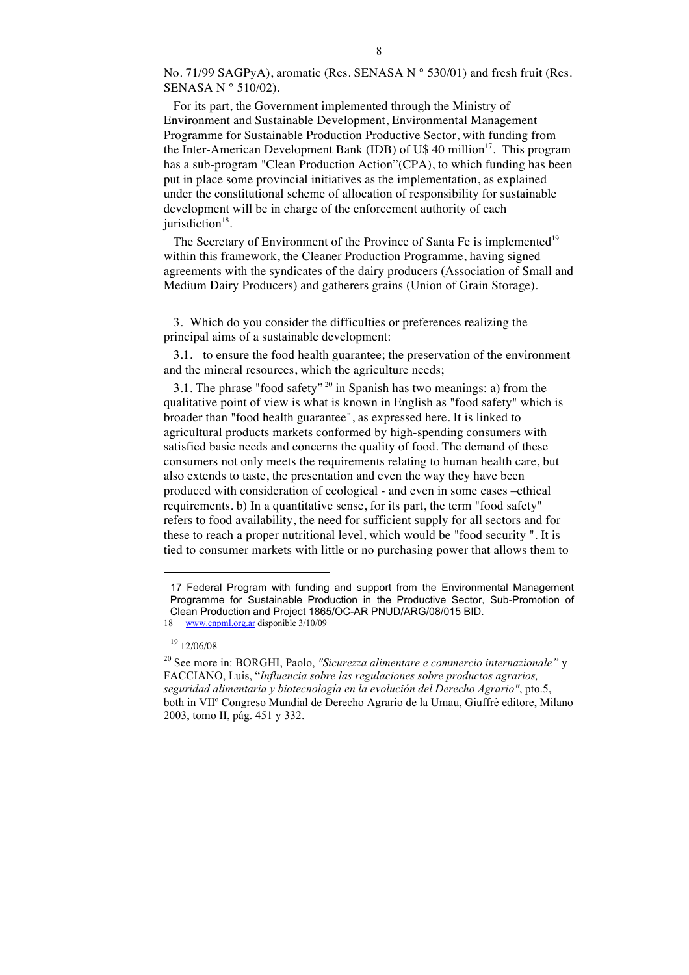No. 71/99 SAGPyA), aromatic (Res. SENASA N° 530/01) and fresh fruit (Res. SENASA N ° 510/02).

For its part, the Government implemented through the Ministry of Environment and Sustainable Development, Environmental Management Programme for Sustainable Production Productive Sector, with funding from the Inter-American Development Bank (IDB) of U\$ 40 million<sup>17</sup>. This program has a sub-program "Clean Production Action"(CPA), to which funding has been put in place some provincial initiatives as the implementation, as explained under the constitutional scheme of allocation of responsibility for sustainable development will be in charge of the enforcement authority of each jurisdiction<sup>18</sup>.

The Secretary of Environment of the Province of Santa Fe is implemented<sup>19</sup> within this framework, the Cleaner Production Programme, having signed agreements with the syndicates of the dairy producers (Association of Small and Medium Dairy Producers) and gatherers grains (Union of Grain Storage).

3. Which do you consider the difficulties or preferences realizing the principal aims of a sustainable development:

3.1. to ensure the food health guarantee; the preservation of the environment and the mineral resources, which the agriculture needs;

3.1. The phrase "food safety"<sup>20</sup> in Spanish has two meanings: a) from the qualitative point of view is what is known in English as "food safety" which is broader than "food health guarantee", as expressed here. It is linked to agricultural products markets conformed by high-spending consumers with satisfied basic needs and concerns the quality of food. The demand of these consumers not only meets the requirements relating to human health care, but also extends to taste, the presentation and even the way they have been produced with consideration of ecological - and even in some cases –ethical requirements. b) In a quantitative sense, for its part, the term "food safety" refers to food availability, the need for sufficient supply for all sectors and for these to reach a proper nutritional level, which would be "food security ". It is tied to consumer markets with little or no purchasing power that allows them to

<sup>17</sup> Federal Program with funding and support from the Environmental Management Programme for Sustainable Production in the Productive Sector, Sub-Promotion of Clean Production and Project 1865/OC-AR PNUD/ARG/08/015 BID.

<sup>18</sup> www.cnpml.org.ar disponible 3/10/09

 $19$  12/06/08

<sup>20</sup> See more in: BORGHI, Paolo, *"Sicurezza alimentare e commercio internazionale"* y FACCIANO, Luis, "*Influencia sobre las regulaciones sobre productos agrarios, seguridad alimentaria y biotecnología en la evolución del Derecho Agrario"*, pto.5, both in VIIº Congreso Mundial de Derecho Agrario de la Umau, Giuffrè editore, Milano 2003, tomo II, pág. 451 y 332.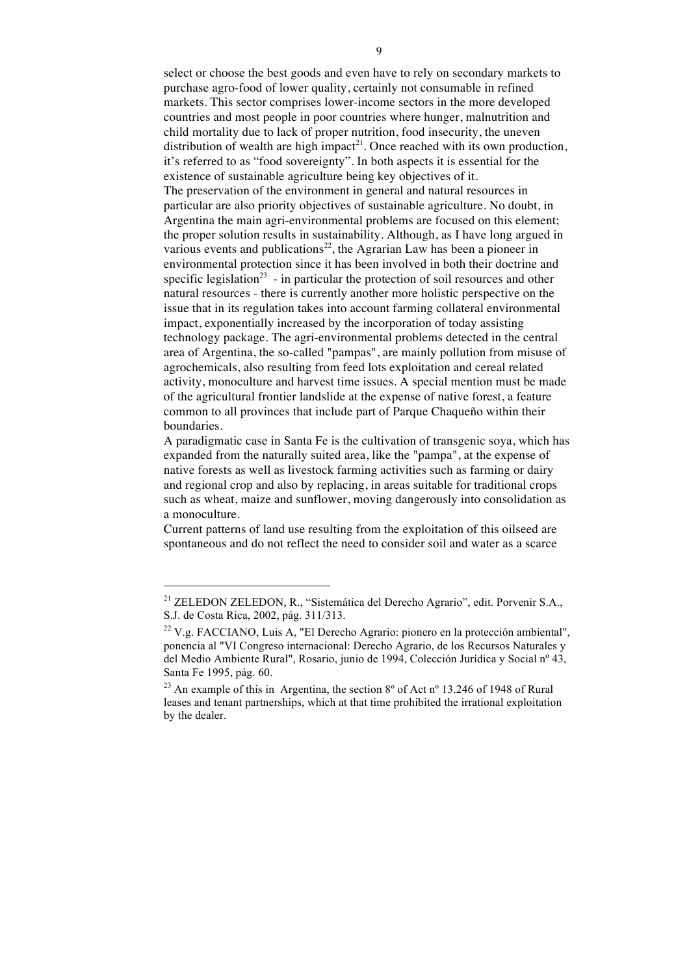select or choose the best goods and even have to rely on secondary markets to purchase agro-food of lower quality, certainly not consumable in refined markets. This sector comprises lower-income sectors in the more developed countries and most people in poor countries where hunger, malnutrition and child mortality due to lack of proper nutrition, food insecurity, the uneven distribution of wealth are high impact<sup>21</sup>. Once reached with its own production, it's referred to as "food sovereignty". In both aspects it is essential for the existence of sustainable agriculture being key objectives of it. The preservation of the environment in general and natural resources in particular are also priority objectives of sustainable agriculture. No doubt, in Argentina the main agri-environmental problems are focused on this element; the proper solution results in sustainability. Although, as I have long argued in various events and publications<sup>22</sup>, the Agrarian Law has been a pioneer in environmental protection since it has been involved in both their doctrine and specific legislation<sup>23</sup> - in particular the protection of soil resources and other natural resources - there is currently another more holistic perspective on the issue that in its regulation takes into account farming collateral environmental impact, exponentially increased by the incorporation of today assisting technology package. The agri-environmental problems detected in the central area of Argentina, the so-called "pampas", are mainly pollution from misuse of agrochemicals, also resulting from feed lots exploitation and cereal related activity, monoculture and harvest time issues. A special mention must be made of the agricultural frontier landslide at the expense of native forest, a feature common to all provinces that include part of Parque Chaqueño within their boundaries.

A paradigmatic case in Santa Fe is the cultivation of transgenic soya, which has expanded from the naturally suited area, like the "pampa", at the expense of native forests as well as livestock farming activities such as farming or dairy and regional crop and also by replacing, in areas suitable for traditional crops such as wheat, maize and sunflower, moving dangerously into consolidation as a monoculture.

Current patterns of land use resulting from the exploitation of this oilseed are spontaneous and do not reflect the need to consider soil and water as a scarce

<sup>21</sup> ZELEDON ZELEDON, R., "Sistemática del Derecho Agrario", edit. Porvenir S.A., S.J. de Costa Rica, 2002, pág. 311/313.

<sup>22</sup> V.g. FACCIANO, Luis A, "El Derecho Agrario: pionero en la protección ambiental", ponencia al "VI Congreso internacional: Derecho Agrario, de los Recursos Naturales y del Medio Ambiente Rural", Rosario, junio de 1994, Colección Jurídica y Social nº 43, Santa Fe 1995, pág. 60.

<sup>&</sup>lt;sup>23</sup> An example of this in Argentina, the section  $8^{\circ}$  of Act n<sup>o</sup> 13.246 of 1948 of Rural leases and tenant partnerships, which at that time prohibited the irrational exploitation by the dealer.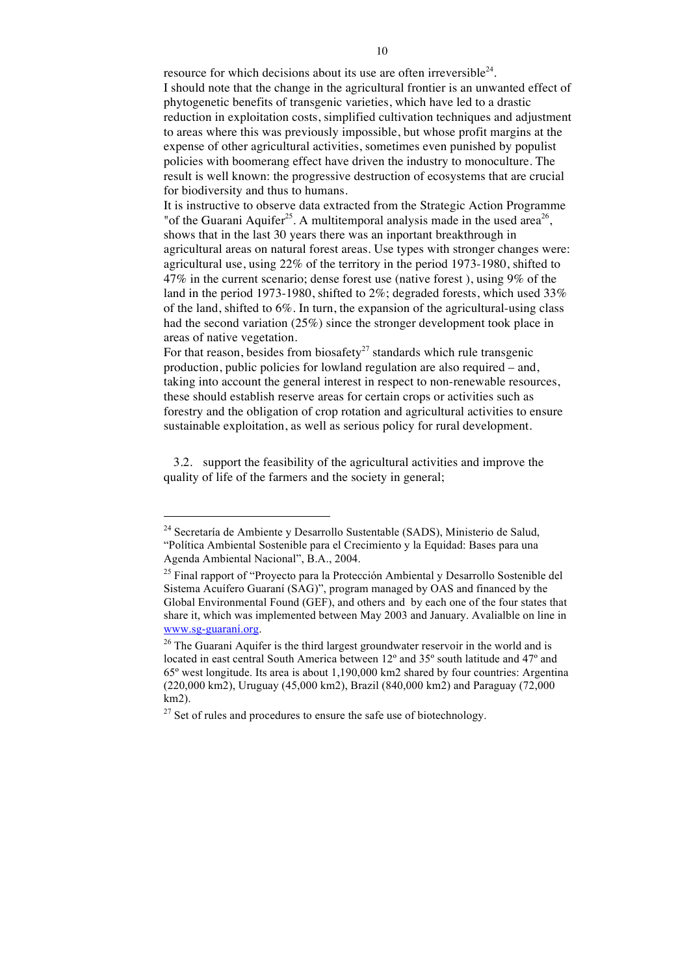resource for which decisions about its use are often irreversible $24$ . I should note that the change in the agricultural frontier is an unwanted effect of phytogenetic benefits of transgenic varieties, which have led to a drastic reduction in exploitation costs, simplified cultivation techniques and adjustment to areas where this was previously impossible, but whose profit margins at the expense of other agricultural activities, sometimes even punished by populist policies with boomerang effect have driven the industry to monoculture. The result is well known: the progressive destruction of ecosystems that are crucial for biodiversity and thus to humans.

It is instructive to observe data extracted from the Strategic Action Programme "of the Guarani Aquifer<sup>25</sup>. A multitemporal analysis made in the used area<sup>26</sup>, shows that in the last 30 years there was an inportant breakthrough in agricultural areas on natural forest areas. Use types with stronger changes were: agricultural use, using 22% of the territory in the period 1973-1980, shifted to 47% in the current scenario; dense forest use (native forest ), using 9% of the land in the period 1973-1980, shifted to 2%; degraded forests, which used 33% of the land, shifted to 6%. In turn, the expansion of the agricultural-using class had the second variation (25%) since the stronger development took place in areas of native vegetation.

For that reason, besides from biosafety<sup>27</sup> standards which rule transgenic production, public policies for lowland regulation are also required – and, taking into account the general interest in respect to non-renewable resources, these should establish reserve areas for certain crops or activities such as forestry and the obligation of crop rotation and agricultural activities to ensure sustainable exploitation, as well as serious policy for rural development.

3.2. support the feasibility of the agricultural activities and improve the quality of life of the farmers and the society in general;

<sup>24</sup> Secretaría de Ambiente y Desarrollo Sustentable (SADS), Ministerio de Salud, "Política Ambiental Sostenible para el Crecimiento y la Equidad: Bases para una Agenda Ambiental Nacional", B.A., 2004.

<sup>&</sup>lt;sup>25</sup> Final rapport of "Proyecto para la Protección Ambiental y Desarrollo Sostenible del Sistema Acuífero Guaraní (SAG)", program managed by OAS and financed by the Global Environmental Found (GEF), and others and by each one of the four states that share it, which was implemented between May 2003 and January. Avalialble on line in www.sg-guaraní.org.

<sup>&</sup>lt;sup>26</sup> The Guarani Aquifer is the third largest groundwater reservoir in the world and is located in east central South America between 12º and 35º south latitude and 47º and 65º west longitude. Its area is about 1,190,000 km2 shared by four countries: Argentina (220,000 km2), Uruguay (45,000 km2), Brazil (840,000 km2) and Paraguay (72,000 km2).

 $27$  Set of rules and procedures to ensure the safe use of biotechnology.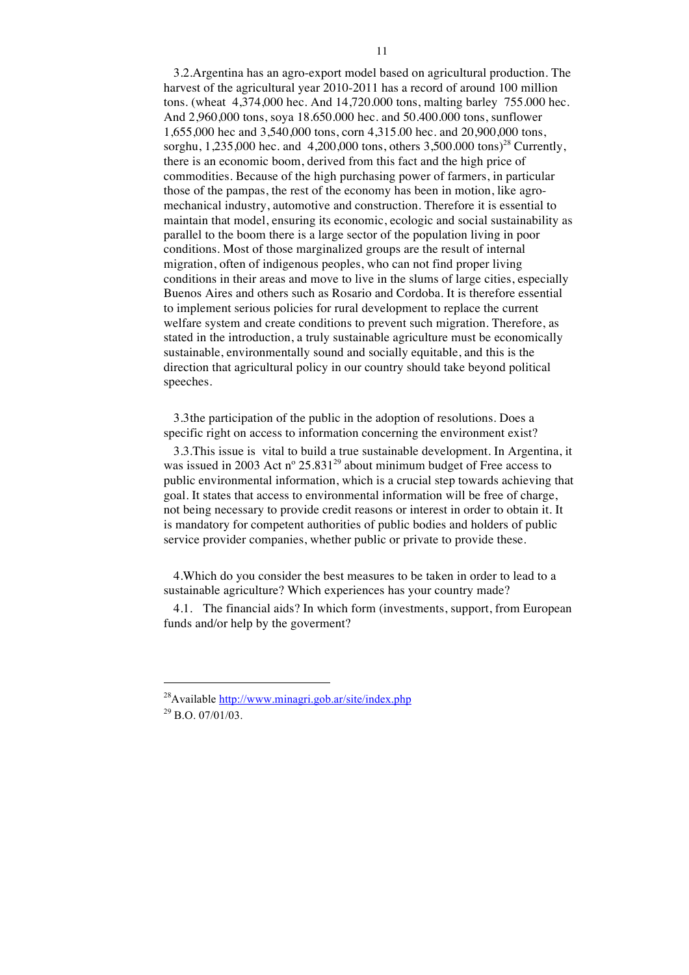3.2.Argentina has an agro-export model based on agricultural production. The harvest of the agricultural year 2010-2011 has a record of around 100 million tons. (wheat 4,374,000 hec. And 14,720.000 tons, malting barley 755.000 hec. And 2,960,000 tons, soya 18.650.000 hec. and 50.400.000 tons, sunflower 1,655,000 hec and 3,540,000 tons, corn 4,315.00 hec. and 20,900,000 tons, sorghu, 1,235,000 hec. and 4,200,000 tons, others  $3,500,000$  tons)<sup>28</sup> Currently, there is an economic boom, derived from this fact and the high price of commodities. Because of the high purchasing power of farmers, in particular those of the pampas, the rest of the economy has been in motion, like agromechanical industry, automotive and construction. Therefore it is essential to maintain that model, ensuring its economic, ecologic and social sustainability as parallel to the boom there is a large sector of the population living in poor conditions. Most of those marginalized groups are the result of internal migration, often of indigenous peoples, who can not find proper living conditions in their areas and move to live in the slums of large cities, especially Buenos Aires and others such as Rosario and Cordoba. It is therefore essential to implement serious policies for rural development to replace the current welfare system and create conditions to prevent such migration. Therefore, as stated in the introduction, a truly sustainable agriculture must be economically sustainable, environmentally sound and socially equitable, and this is the direction that agricultural policy in our country should take beyond political speeches.

3.3the participation of the public in the adoption of resolutions. Does a specific right on access to information concerning the environment exist?

3.3.This issue is vital to build a true sustainable development. In Argentina, it was issued in 2003 Act  $n^{\circ}$  25.831<sup>29</sup> about minimum budget of Free access to public environmental information, which is a crucial step towards achieving that goal. It states that access to environmental information will be free of charge, not being necessary to provide credit reasons or interest in order to obtain it. It is mandatory for competent authorities of public bodies and holders of public service provider companies, whether public or private to provide these.

4.Which do you consider the best measures to be taken in order to lead to a sustainable agriculture? Which experiences has your country made?

4.1. The financial aids? In which form (investments, support, from European funds and/or help by the goverment?

<sup>&</sup>lt;sup>28</sup>Available http://www.minagri.gob.ar/site/index.php  $^{29}$  B.O. 07/01/03.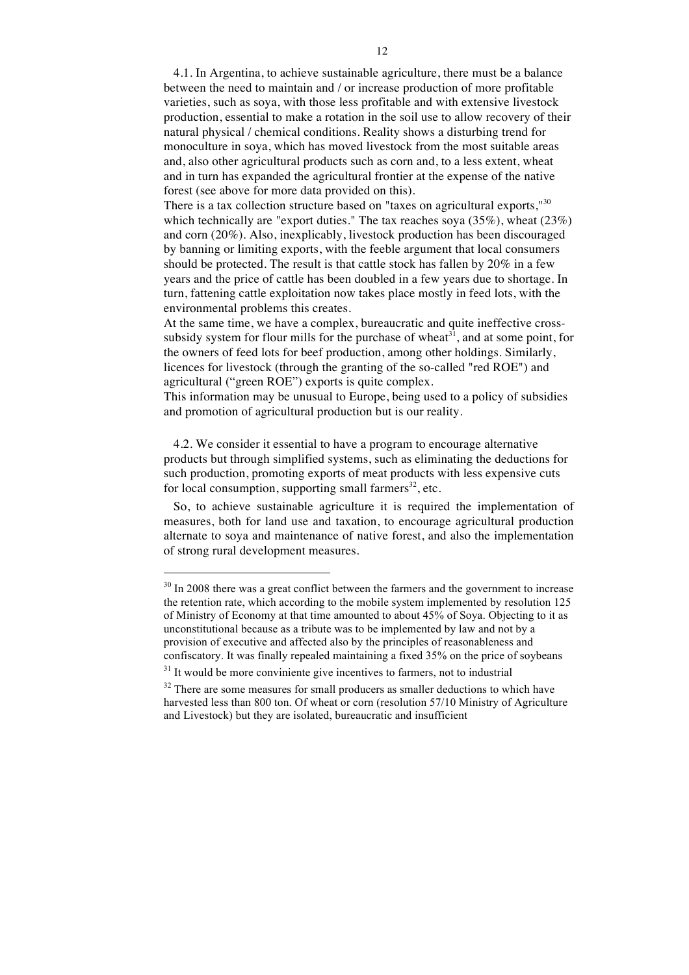4.1. In Argentina, to achieve sustainable agriculture, there must be a balance between the need to maintain and / or increase production of more profitable varieties, such as soya, with those less profitable and with extensive livestock production, essential to make a rotation in the soil use to allow recovery of their natural physical / chemical conditions. Reality shows a disturbing trend for monoculture in soya, which has moved livestock from the most suitable areas and, also other agricultural products such as corn and, to a less extent, wheat and in turn has expanded the agricultural frontier at the expense of the native forest (see above for more data provided on this).

There is a tax collection structure based on "taxes on agricultural exports,"<sup>30</sup> which technically are "export duties." The tax reaches soya (35%), wheat (23%) and corn (20%). Also, inexplicably, livestock production has been discouraged by banning or limiting exports, with the feeble argument that local consumers should be protected. The result is that cattle stock has fallen by 20% in a few years and the price of cattle has been doubled in a few years due to shortage. In turn, fattening cattle exploitation now takes place mostly in feed lots, with the environmental problems this creates.

At the same time, we have a complex, bureaucratic and quite ineffective crosssubsidy system for flour mills for the purchase of wheat $3<sup>1</sup>$ , and at some point, for the owners of feed lots for beef production, among other holdings. Similarly, licences for livestock (through the granting of the so-called "red ROE") and agricultural ("green ROE") exports is quite complex.

This information may be unusual to Europe, being used to a policy of subsidies and promotion of agricultural production but is our reality.

4.2. We consider it essential to have a program to encourage alternative products but through simplified systems, such as eliminating the deductions for such production, promoting exports of meat products with less expensive cuts for local consumption, supporting small farmers<sup>32</sup>, etc.

So, to achieve sustainable agriculture it is required the implementation of measures, both for land use and taxation, to encourage agricultural production alternate to soya and maintenance of native forest, and also the implementation of strong rural development measures.

1

<sup>&</sup>lt;sup>30</sup> In 2008 there was a great conflict between the farmers and the government to increase the retention rate, which according to the mobile system implemented by resolution 125 of Ministry of Economy at that time amounted to about 45% of Soya. Objecting to it as unconstitutional because as a tribute was to be implemented by law and not by a provision of executive and affected also by the principles of reasonableness and confiscatory. It was finally repealed maintaining a fixed 35% on the price of soybeans

 $31$  It would be more conviniente give incentives to farmers, not to industrial

<sup>&</sup>lt;sup>32</sup> There are some measures for small producers as smaller deductions to which have harvested less than 800 ton. Of wheat or corn (resolution 57/10 Ministry of Agriculture and Livestock) but they are isolated, bureaucratic and insufficient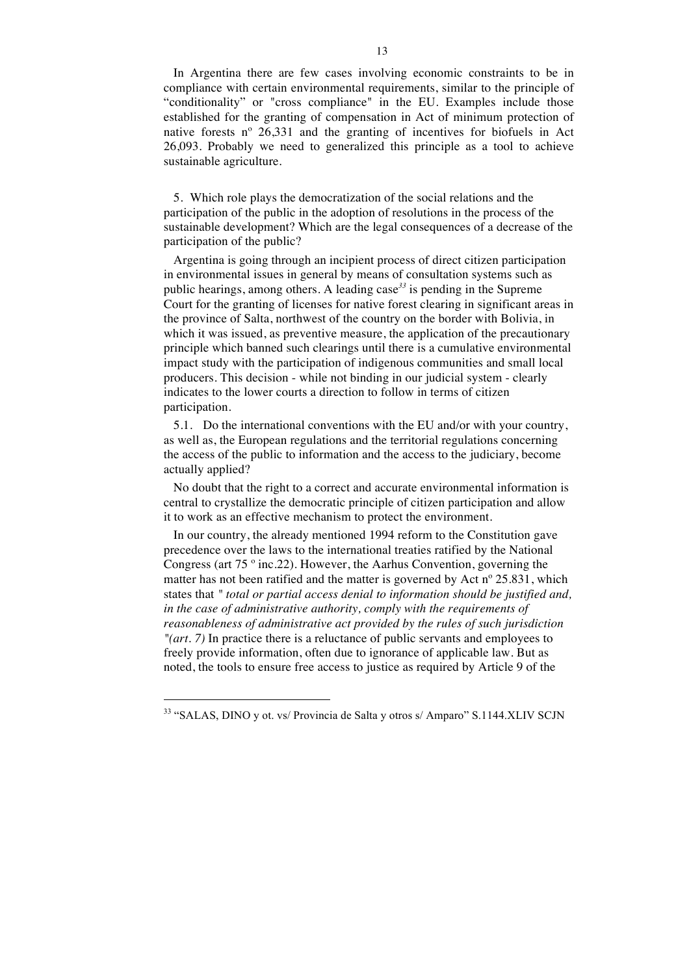In Argentina there are few cases involving economic constraints to be in compliance with certain environmental requirements, similar to the principle of "conditionality" or "cross compliance" in the EU. Examples include those established for the granting of compensation in Act of minimum protection of native forests nº 26,331 and the granting of incentives for biofuels in Act 26,093. Probably we need to generalized this principle as a tool to achieve sustainable agriculture.

5. Which role plays the democratization of the social relations and the participation of the public in the adoption of resolutions in the process of the sustainable development? Which are the legal consequences of a decrease of the participation of the public?

Argentina is going through an incipient process of direct citizen participation in environmental issues in general by means of consultation systems such as public hearings, among others. A leading case*<sup>33</sup>* is pending in the Supreme Court for the granting of licenses for native forest clearing in significant areas in the province of Salta, northwest of the country on the border with Bolivia, in which it was issued, as preventive measure, the application of the precautionary principle which banned such clearings until there is a cumulative environmental impact study with the participation of indigenous communities and small local producers. This decision - while not binding in our judicial system - clearly indicates to the lower courts a direction to follow in terms of citizen participation.

5.1. Do the international conventions with the EU and/or with your country, as well as, the European regulations and the territorial regulations concerning the access of the public to information and the access to the judiciary, become actually applied?

No doubt that the right to a correct and accurate environmental information is central to crystallize the democratic principle of citizen participation and allow it to work as an effective mechanism to protect the environment.

In our country, the already mentioned 1994 reform to the Constitution gave precedence over the laws to the international treaties ratified by the National Congress (art 75 º inc.22). However, the Aarhus Convention, governing the matter has not been ratified and the matter is governed by Act nº 25.831, which states that *" total or partial access denial to information should be justified and, in the case of administrative authority, comply with the requirements of reasonableness of administrative act provided by the rules of such jurisdiction "(art. 7)* In practice there is a reluctance of public servants and employees to freely provide information, often due to ignorance of applicable law. But as noted, the tools to ensure free access to justice as required by Article 9 of the

<sup>33 &</sup>quot;SALAS, DINO y ot. vs/ Provincia de Salta y otros s/ Amparo" S.1144.XLIV SCJN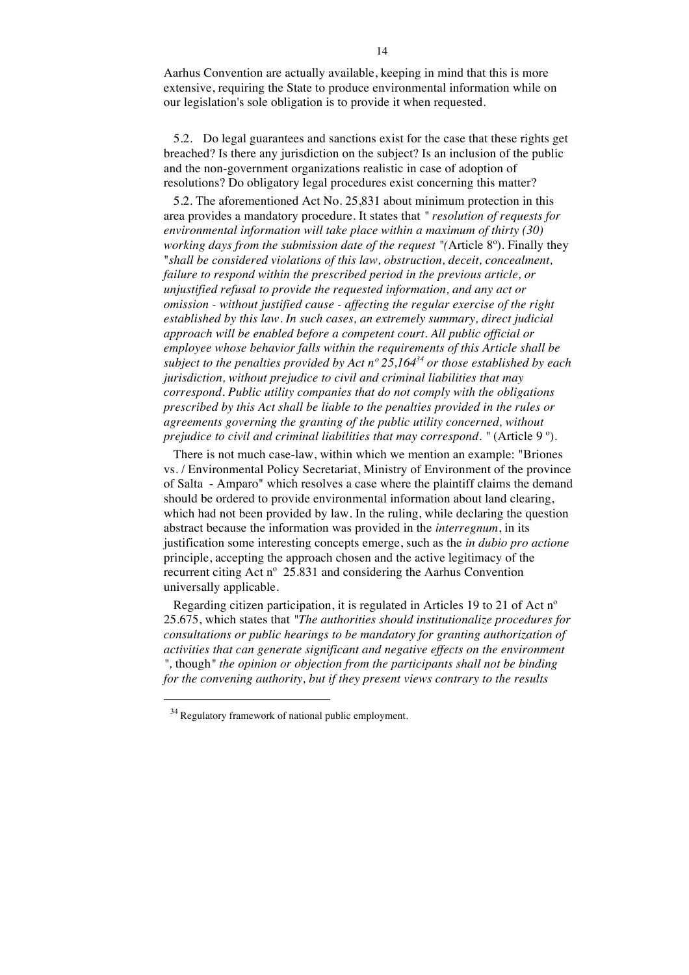Aarhus Convention are actually available, keeping in mind that this is more extensive, requiring the State to produce environmental information while on our legislation's sole obligation is to provide it when requested.

5.2. Do legal guarantees and sanctions exist for the case that these rights get breached? Is there any jurisdiction on the subject? Is an inclusion of the public and the non-government organizations realistic in case of adoption of resolutions? Do obligatory legal procedures exist concerning this matter?

5.2. The aforementioned Act No. 25,831 about minimum protection in this area provides a mandatory procedure. It states that *" resolution of requests for environmental information will take place within a maximum of thirty (30) working days from the submission date of the request "(*Article 8º). Finally they "*shall be considered violations of this law, obstruction, deceit, concealment, failure to respond within the prescribed period in the previous article, or unjustified refusal to provide the requested information, and any act or omission - without justified cause - affecting the regular exercise of the right established by this law. In such cases, an extremely summary, direct judicial approach will be enabled before a competent court. All public official or employee whose behavior falls within the requirements of this Article shall be subject to the penalties provided by Act nº 25,16434 or those established by each jurisdiction, without prejudice to civil and criminal liabilities that may correspond. Public utility companies that do not comply with the obligations prescribed by this Act shall be liable to the penalties provided in the rules or agreements governing the granting of the public utility concerned, without prejudice to civil and criminal liabilities that may correspond.* " (Article 9<sup>o</sup>).

There is not much case-law, within which we mention an example: "Briones vs. / Environmental Policy Secretariat, Ministry of Environment of the province of Salta - Amparo" which resolves a case where the plaintiff claims the demand should be ordered to provide environmental information about land clearing, which had not been provided by law. In the ruling, while declaring the question abstract because the information was provided in the *interregnum*, in its justification some interesting concepts emerge, such as the *in dubio pro actione* principle, accepting the approach chosen and the active legitimacy of the recurrent citing Act nº 25.831 and considering the Aarhus Convention universally applicable.

Regarding citizen participation, it is regulated in Articles 19 to 21 of Act nº 25.675, which states that *"The authorities should institutionalize procedures for consultations or public hearings to be mandatory for granting authorization of activities that can generate significant and negative effects on the environment ",* though*" the opinion or objection from the participants shall not be binding for the convening authority, but if they present views contrary to the results* 

<sup>&</sup>lt;sup>34</sup> Regulatory framework of national public employment.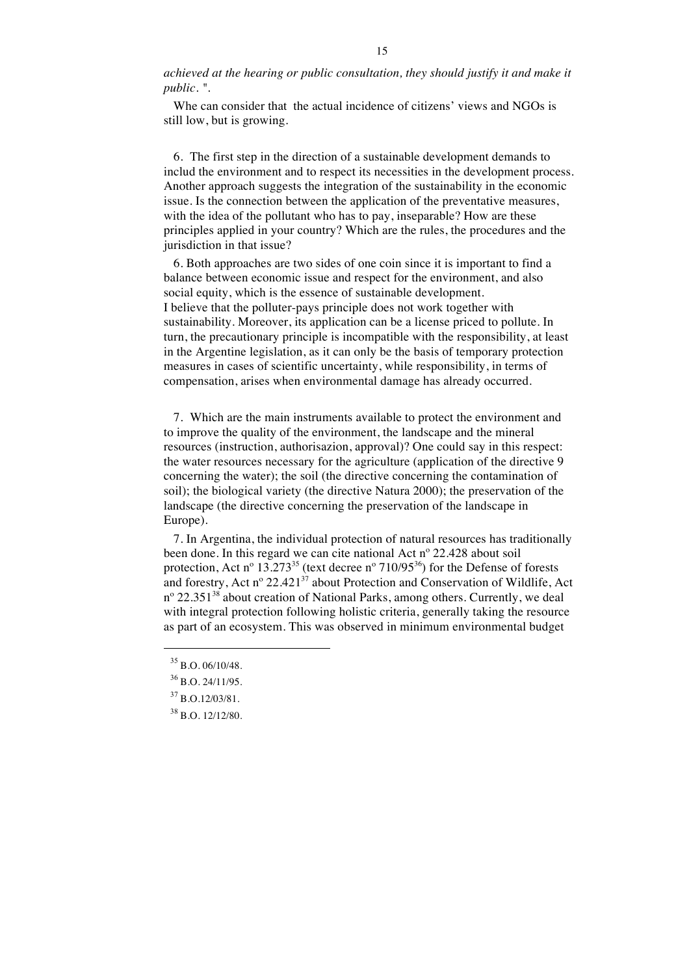*achieved at the hearing or public consultation, they should justify it and make it public. "*.

Whe can consider that the actual incidence of citizens' views and NGOs is still low, but is growing.

6. The first step in the direction of a sustainable development demands to includ the environment and to respect its necessities in the development process. Another approach suggests the integration of the sustainability in the economic issue. Is the connection between the application of the preventative measures, with the idea of the pollutant who has to pay, inseparable? How are these principles applied in your country? Which are the rules, the procedures and the jurisdiction in that issue?

6. Both approaches are two sides of one coin since it is important to find a balance between economic issue and respect for the environment, and also social equity, which is the essence of sustainable development. I believe that the polluter-pays principle does not work together with sustainability. Moreover, its application can be a license priced to pollute. In turn, the precautionary principle is incompatible with the responsibility, at least in the Argentine legislation, as it can only be the basis of temporary protection measures in cases of scientific uncertainty, while responsibility, in terms of compensation, arises when environmental damage has already occurred.

7. Which are the main instruments available to protect the environment and to improve the quality of the environment, the landscape and the mineral resources (instruction, authorisazion, approval)? One could say in this respect: the water resources necessary for the agriculture (application of the directive 9 concerning the water); the soil (the directive concerning the contamination of soil); the biological variety (the directive Natura 2000); the preservation of the landscape (the directive concerning the preservation of the landscape in Europe).

7. In Argentina, the individual protection of natural resources has traditionally been done. In this regard we can cite national Act nº 22.428 about soil protection, Act n<sup>o</sup> 13.273<sup>35</sup> (text decree n<sup>o</sup> 710/95<sup>36</sup>) for the Defense of forests and forestry, Act n° 22.421 $3^7$  about Protection and Conservation of Wildlife, Act  $n^{\circ}$  22.351<sup>38</sup> about creation of National Parks, among others. Currently, we deal with integral protection following holistic criteria, generally taking the resource as part of an ecosystem. This was observed in minimum environmental budget

 $35$  B.O. 06/10/48.

 $36$  B.O. 24/11/95.

 $37$  B.O.12/03/81.

<sup>38</sup> B.O. 12/12/80.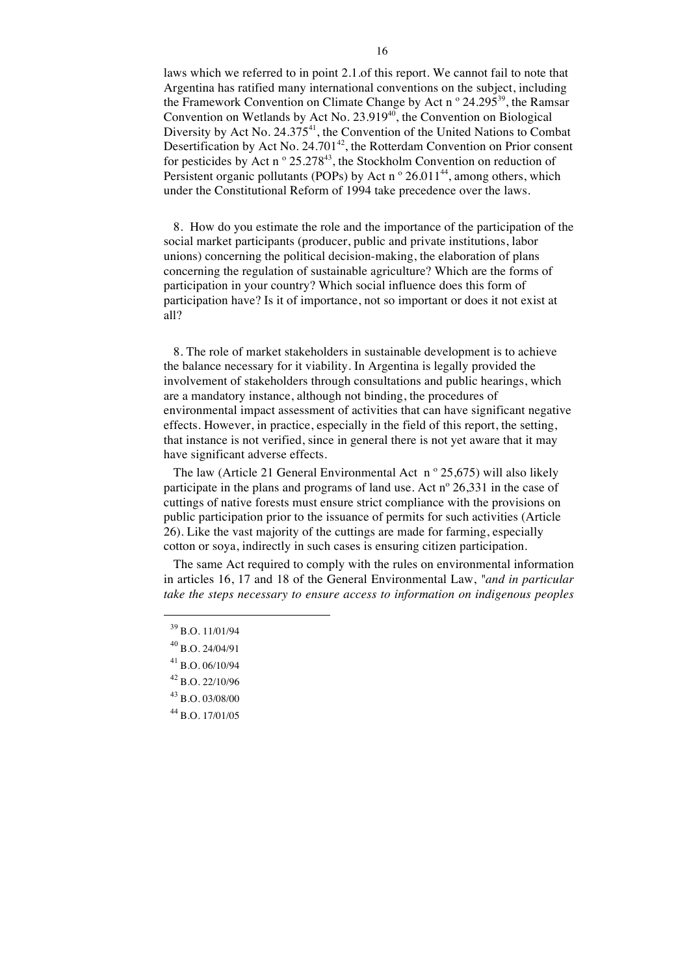laws which we referred to in point 2.1.of this report. We cannot fail to note that Argentina has ratified many international conventions on the subject, including the Framework Convention on Climate Change by Act n<sup>o</sup>  $24.295^{39}$ , the Ramsar Convention on Wetlands by Act No. 23.919<sup>40</sup>, the Convention on Biological Diversity by Act No. 24.375<sup>41</sup>, the Convention of the United Nations to Combat Desertification by Act No.  $24.701^{42}$ , the Rotterdam Convention on Prior consent for pesticides by Act n  $\degree$  25.278<sup>43</sup>, the Stockholm Convention on reduction of Persistent organic pollutants (POPs) by Act n  $\degree$  26.011<sup>44</sup>, among others, which under the Constitutional Reform of 1994 take precedence over the laws.

8. How do you estimate the role and the importance of the participation of the social market participants (producer, public and private institutions, labor unions) concerning the political decision-making, the elaboration of plans concerning the regulation of sustainable agriculture? Which are the forms of participation in your country? Which social influence does this form of participation have? Is it of importance, not so important or does it not exist at all?

8. The role of market stakeholders in sustainable development is to achieve the balance necessary for it viability. In Argentina is legally provided the involvement of stakeholders through consultations and public hearings, which are a mandatory instance, although not binding, the procedures of environmental impact assessment of activities that can have significant negative effects. However, in practice, especially in the field of this report, the setting, that instance is not verified, since in general there is not yet aware that it may have significant adverse effects.

The law (Article 21 General Environmental Act  $n^{\circ}$  25,675) will also likely participate in the plans and programs of land use. Act nº 26,331 in the case of cuttings of native forests must ensure strict compliance with the provisions on public participation prior to the issuance of permits for such activities (Article 26). Like the vast majority of the cuttings are made for farming, especially cotton or soya, indirectly in such cases is ensuring citizen participation.

The same Act required to comply with the rules on environmental information in articles 16, 17 and 18 of the General Environmental Law, *"and in particular take the steps necessary to ensure access to information on indigenous peoples* 

 $\overline{a}$ 

<sup>44</sup> B.O. 17/01/05

<sup>39</sup> B.O. 11/01/94

<sup>40</sup> B.O. 24/04/91

 $41$  B.O. 06/10/94

 $42$  B.O. 22/10/96

<sup>43</sup> B.O. 03/08/00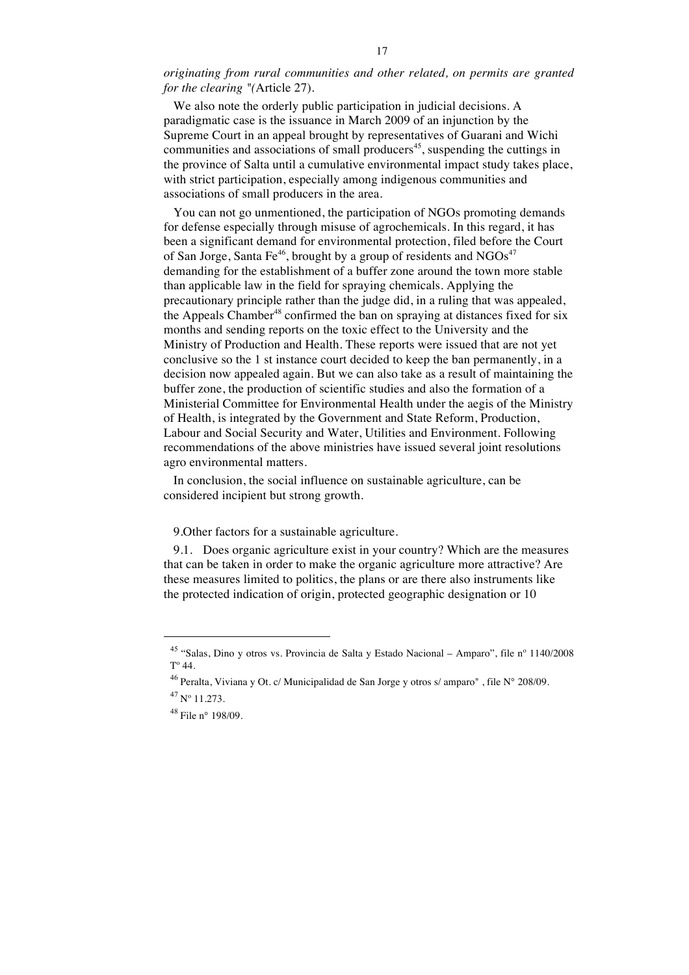*originating from rural communities and other related, on permits are granted for the clearing "(*Article 27).

We also note the orderly public participation in judicial decisions. A paradigmatic case is the issuance in March 2009 of an injunction by the Supreme Court in an appeal brought by representatives of Guarani and Wichi communities and associations of small producers<sup>45</sup>, suspending the cuttings in the province of Salta until a cumulative environmental impact study takes place, with strict participation, especially among indigenous communities and associations of small producers in the area.

You can not go unmentioned, the participation of NGOs promoting demands for defense especially through misuse of agrochemicals. In this regard, it has been a significant demand for environmental protection, filed before the Court of San Jorge, Santa Fe<sup>46</sup>, brought by a group of residents and  $NGOs<sup>47</sup>$ demanding for the establishment of a buffer zone around the town more stable than applicable law in the field for spraying chemicals. Applying the precautionary principle rather than the judge did, in a ruling that was appealed, the Appeals Chamber<sup>48</sup> confirmed the ban on spraying at distances fixed for six months and sending reports on the toxic effect to the University and the Ministry of Production and Health. These reports were issued that are not yet conclusive so the 1 st instance court decided to keep the ban permanently, in a decision now appealed again. But we can also take as a result of maintaining the buffer zone, the production of scientific studies and also the formation of a Ministerial Committee for Environmental Health under the aegis of the Ministry of Health, is integrated by the Government and State Reform, Production, Labour and Social Security and Water, Utilities and Environment. Following recommendations of the above ministries have issued several joint resolutions agro environmental matters.

In conclusion, the social influence on sustainable agriculture, can be considered incipient but strong growth.

9.Other factors for a sustainable agriculture.

9.1. Does organic agriculture exist in your country? Which are the measures that can be taken in order to make the organic agriculture more attractive? Are these measures limited to politics, the plans or are there also instruments like the protected indication of origin, protected geographic designation or 10

<sup>45</sup> "Salas, Dino y otros vs. Provincia de Salta y Estado Nacional – Amparo", file nº 1140/2008  $T^{\circ}$  44.

<sup>&</sup>lt;sup>46</sup> Peralta, Viviana y Ot. c/ Municipalidad de San Jorge y otros s/ amparo", file  $N^{\circ}$  208/09.  $47$  N° 11.273.

<sup>48</sup> File n° 198/09.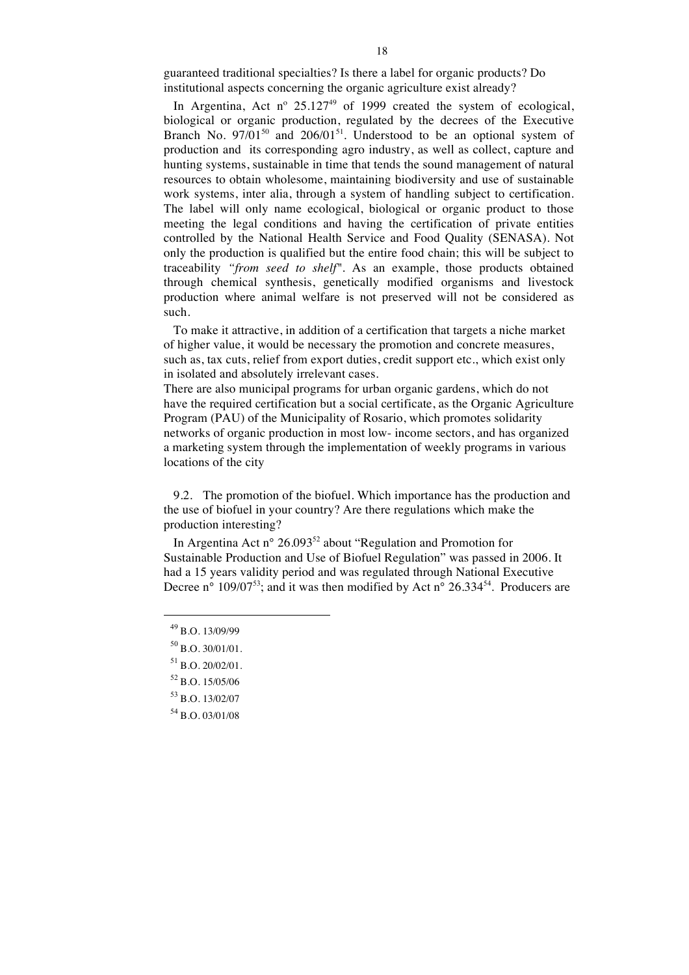guaranteed traditional specialties? Is there a label for organic products? Do institutional aspects concerning the organic agriculture exist already?

In Argentina, Act nº  $25.127^{49}$  of 1999 created the system of ecological, biological or organic production, regulated by the decrees of the Executive Branch No.  $97/01^{50}$  and  $206/01^{51}$ . Understood to be an optional system of production and its corresponding agro industry, as well as collect, capture and hunting systems, sustainable in time that tends the sound management of natural resources to obtain wholesome, maintaining biodiversity and use of sustainable work systems, inter alia, through a system of handling subject to certification. The label will only name ecological, biological or organic product to those meeting the legal conditions and having the certification of private entities controlled by the National Health Service and Food Quality (SENASA). Not only the production is qualified but the entire food chain; this will be subject to traceability *"from seed to shelf".* As an example, those products obtained through chemical synthesis, genetically modified organisms and livestock production where animal welfare is not preserved will not be considered as such.

To make it attractive, in addition of a certification that targets a niche market of higher value, it would be necessary the promotion and concrete measures, such as, tax cuts, relief from export duties, credit support etc., which exist only in isolated and absolutely irrelevant cases.

There are also municipal programs for urban organic gardens, which do not have the required certification but a social certificate, as the Organic Agriculture Program (PAU) of the Municipality of Rosario, which promotes solidarity networks of organic production in most low- income sectors, and has organized a marketing system through the implementation of weekly programs in various locations of the city

9.2. The promotion of the biofuel. Which importance has the production and the use of biofuel in your country? Are there regulations which make the production interesting?

In Argentina Act n°  $26.093^{52}$  about "Regulation and Promotion for Sustainable Production and Use of Biofuel Regulation" was passed in 2006. It had a 15 years validity period and was regulated through National Executive Decree n° 109/07<sup>53</sup>; and it was then modified by Act n° 26.334<sup>54</sup>. Producers are

<sup>49</sup> B.O. 13/09/99

 $50$  B.O. 30/01/01.

 $^{51}$  B.O. 20/02/01.

<sup>52</sup> B.O. 15/05/06

<sup>53</sup> B.O. 13/02/07

<sup>54</sup> B.O. 03/01/08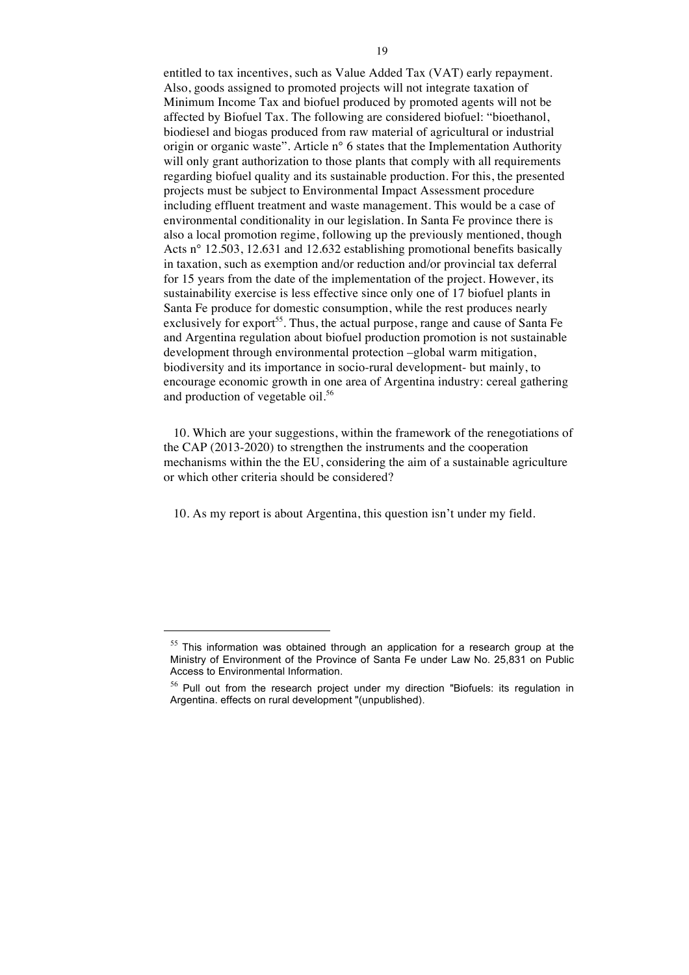entitled to tax incentives, such as Value Added Tax (VAT) early repayment. Also, goods assigned to promoted projects will not integrate taxation of Minimum Income Tax and biofuel produced by promoted agents will not be affected by Biofuel Tax. The following are considered biofuel: "bioethanol, biodiesel and biogas produced from raw material of agricultural or industrial origin or organic waste". Article n° 6 states that the Implementation Authority will only grant authorization to those plants that comply with all requirements regarding biofuel quality and its sustainable production. For this, the presented projects must be subject to Environmental Impact Assessment procedure including effluent treatment and waste management. This would be a case of environmental conditionality in our legislation. In Santa Fe province there is also a local promotion regime, following up the previously mentioned, though Acts n° 12.503, 12.631 and 12.632 establishing promotional benefits basically in taxation, such as exemption and/or reduction and/or provincial tax deferral for 15 years from the date of the implementation of the project. However, its sustainability exercise is less effective since only one of 17 biofuel plants in Santa Fe produce for domestic consumption, while the rest produces nearly exclusively for export<sup>55</sup>. Thus, the actual purpose, range and cause of Santa Fe and Argentina regulation about biofuel production promotion is not sustainable development through environmental protection –global warm mitigation, biodiversity and its importance in socio-rural development- but mainly, to encourage economic growth in one area of Argentina industry: cereal gathering and production of vegetable oil.<sup>56</sup>

10. Which are your suggestions, within the framework of the renegotiations of the CAP (2013-2020) to strengthen the instruments and the cooperation mechanisms within the the EU, considering the aim of a sustainable agriculture or which other criteria should be considered?

10. As my report is about Argentina, this question isn't under my field.

 $55$  This information was obtained through an application for a research group at the Ministry of Environment of the Province of Santa Fe under Law No. 25,831 on Public Access to Environmental Information.

 $56$  Pull out from the research project under my direction "Biofuels: its regulation in Argentina. effects on rural development "(unpublished).